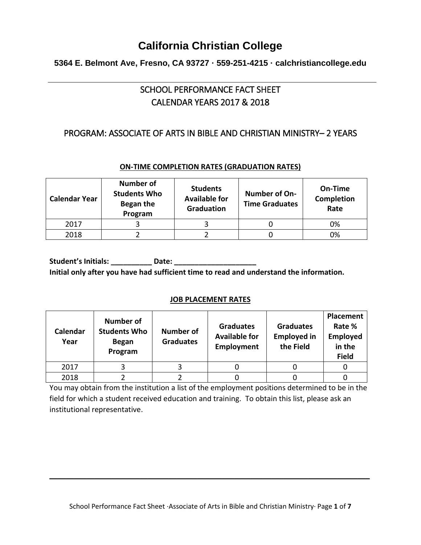## **5364 E. Belmont Ave, Fresno, CA 93727 · 559-251-4215 · calchristiancollege.edu**

## SCHOOL PERFORMANCE FACT SHEET CALENDAR YEARS 2017 & 2018

## PROGRAM: ASSOCIATE OF ARTS IN BIBLE AND CHRISTIAN MINISTRY– 2 YEARS

### **ON-TIME COMPLETION RATES (GRADUATION RATES)**

| <b>Calendar Year</b> | <b>Number of</b><br><b>Students Who</b><br>Began the<br>Program | <b>Students</b><br><b>Available for</b><br><b>Graduation</b> | <b>Number of On-</b><br><b>Time Graduates</b> | On-Time<br>Completion<br>Rate |
|----------------------|-----------------------------------------------------------------|--------------------------------------------------------------|-----------------------------------------------|-------------------------------|
| 2017                 |                                                                 |                                                              |                                               | 0%                            |
| 2018                 |                                                                 |                                                              |                                               | 0%                            |

**Student's Initials: \_\_\_\_\_\_\_\_\_\_ Date: \_\_\_\_\_\_\_\_\_\_\_\_\_\_\_\_\_\_\_\_ Initial only after you have had sufficient time to read and understand the information.**

#### **JOB PLACEMENT RATES**

| Calendar<br>Year | <b>Number of</b><br><b>Students Who</b><br><b>Began</b><br>Program | <b>Number of</b><br><b>Graduates</b> | <b>Graduates</b><br><b>Available for</b><br>Employment | <b>Graduates</b><br><b>Employed in</b><br>the Field | Placement<br>Rate %<br><b>Employed</b><br>in the<br><b>Field</b> |
|------------------|--------------------------------------------------------------------|--------------------------------------|--------------------------------------------------------|-----------------------------------------------------|------------------------------------------------------------------|
| 2017             |                                                                    |                                      |                                                        |                                                     |                                                                  |
| 2018             |                                                                    |                                      |                                                        |                                                     |                                                                  |

You may obtain from the institution a list of the employment positions determined to be in the field for which a student received education and training. To obtain this list, please ask an institutional representative.

\_\_\_\_\_\_\_\_\_\_\_\_\_\_\_\_\_\_\_\_\_\_\_\_\_\_\_\_\_\_\_\_\_\_\_\_\_\_\_\_\_\_\_\_\_\_\_\_\_\_\_\_\_\_\_\_\_\_\_\_\_\_\_\_\_\_\_\_\_\_\_\_\_\_\_\_\_\_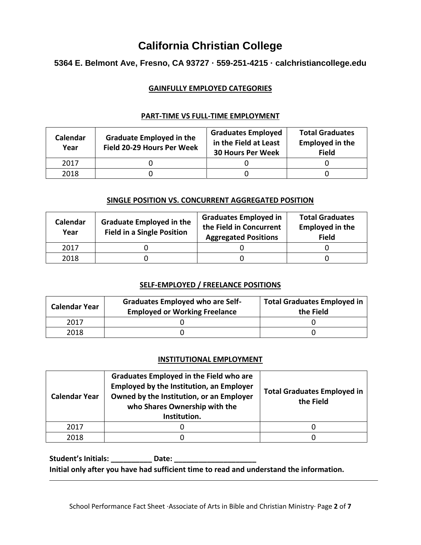## **5364 E. Belmont Ave, Fresno, CA 93727 · 559-251-4215 · calchristiancollege.edu**

#### **GAINFULLY EMPLOYED CATEGORIES**

| Calendar<br>Year | <b>Graduate Employed in the</b><br>Field 20-29 Hours Per Week | <b>Graduates Employed</b><br>in the Field at Least<br><b>30 Hours Per Week</b> | <b>Total Graduates</b><br><b>Employed in the</b><br><b>Field</b> |
|------------------|---------------------------------------------------------------|--------------------------------------------------------------------------------|------------------------------------------------------------------|
| 2017             |                                                               |                                                                                |                                                                  |
| 2018             |                                                               |                                                                                |                                                                  |

#### **PART-TIME VS FULL-TIME EMPLOYMENT**

#### **SINGLE POSITION VS. CONCURRENT AGGREGATED POSITION**

| Calendar<br>Year | <b>Graduate Employed in the</b><br><b>Field in a Single Position</b> | <b>Graduates Employed in</b><br>the Field in Concurrent<br><b>Aggregated Positions</b> | <b>Total Graduates</b><br><b>Employed in the</b><br><b>Field</b> |
|------------------|----------------------------------------------------------------------|----------------------------------------------------------------------------------------|------------------------------------------------------------------|
| 2017             |                                                                      |                                                                                        |                                                                  |
| 2018             |                                                                      |                                                                                        |                                                                  |

#### **SELF-EMPLOYED / FREELANCE POSITIONS**

| <b>Calendar Year</b> | <b>Graduates Employed who are Self-</b><br><b>Employed or Working Freelance</b> | <b>Total Graduates Employed in</b><br>the Field |
|----------------------|---------------------------------------------------------------------------------|-------------------------------------------------|
| 2017                 |                                                                                 |                                                 |
| 2018                 |                                                                                 |                                                 |

#### **INSTITUTIONAL EMPLOYMENT**

| <b>Calendar Year</b> | <b>Graduates Employed in the Field who are</b><br><b>Employed by the Institution, an Employer</b><br>Owned by the Institution, or an Employer<br>who Shares Ownership with the<br>Institution. | <b>Total Graduates Employed in</b><br>the Field |
|----------------------|------------------------------------------------------------------------------------------------------------------------------------------------------------------------------------------------|-------------------------------------------------|
| 2017                 |                                                                                                                                                                                                |                                                 |
| 2018                 |                                                                                                                                                                                                |                                                 |

**Student's Initials: \_\_\_\_\_\_\_\_\_\_ Date: \_\_\_\_\_\_\_\_\_\_\_\_\_\_\_\_\_\_\_\_ Initial only after you have had sufficient time to read and understand the information.**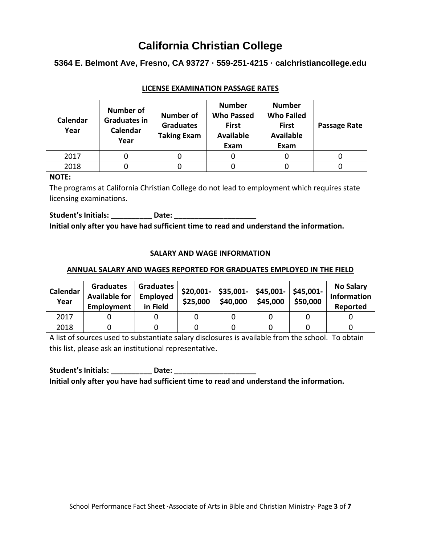### **5364 E. Belmont Ave, Fresno, CA 93727 · 559-251-4215 · calchristiancollege.edu**

| Calendar<br>Year | <b>Number of</b><br><b>Graduates in</b><br>Calendar<br>Year | <b>Number of</b><br><b>Graduates</b><br><b>Taking Exam</b> | <b>Number</b><br><b>Who Passed</b><br><b>First</b><br><b>Available</b><br>Exam | <b>Number</b><br><b>Who Failed</b><br><b>First</b><br><b>Available</b><br>Exam | Passage Rate |
|------------------|-------------------------------------------------------------|------------------------------------------------------------|--------------------------------------------------------------------------------|--------------------------------------------------------------------------------|--------------|
| 2017             |                                                             |                                                            |                                                                                |                                                                                |              |
| 2018             |                                                             |                                                            |                                                                                |                                                                                |              |

### **LICENSE EXAMINATION PASSAGE RATES**

#### **NOTE:**

The programs at California Christian College do not lead to employment which requires state licensing examinations.

Student's Initials: \_\_\_\_\_\_\_\_\_\_\_\_ Date: \_\_\_\_\_\_\_\_ **Initial only after you have had sufficient time to read and understand the information.**

#### **SALARY AND WAGE INFORMATION**

#### **ANNUAL SALARY AND WAGES REPORTED FOR GRADUATES EMPLOYED IN THE FIELD**

| Calendar<br>Year | <b>Graduates</b><br><b>Available for</b><br>Employment | Graduates<br>Employed<br>in Field | \$25,000 | \$40,000 | $$20,001$ - $$35,001$ - $$45,001$ - $$45,001$ -<br>\$45,000 | \$50,000 | <b>No Salary</b><br><b>Information</b><br>Reported |
|------------------|--------------------------------------------------------|-----------------------------------|----------|----------|-------------------------------------------------------------|----------|----------------------------------------------------|
| 2017             |                                                        |                                   |          |          |                                                             |          |                                                    |
| 2018             |                                                        |                                   |          |          |                                                             |          |                                                    |

A list of sources used to substantiate salary disclosures is available from the school. To obtain this list, please ask an institutional representative.

**Student's Initials: \_\_\_\_\_\_\_\_\_\_ Date: \_\_\_\_\_\_\_\_\_\_\_\_\_\_\_\_\_\_\_\_ Initial only after you have had sufficient time to read and understand the information.**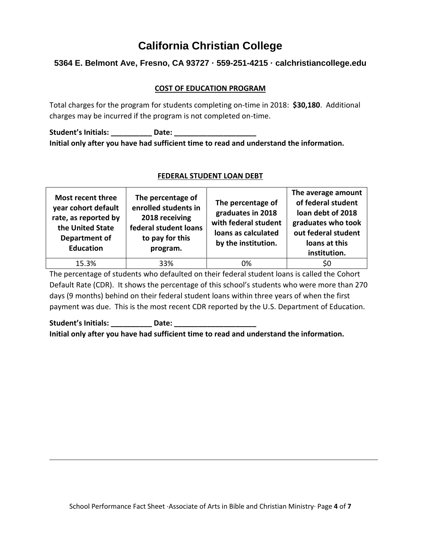## **5364 E. Belmont Ave, Fresno, CA 93727 · 559-251-4215 · calchristiancollege.edu**

#### **COST OF EDUCATION PROGRAM**

Total charges for the program for students completing on-time in 2018: **\$30,180**. Additional charges may be incurred if the program is not completed on-time.

**Student's Initials: \_\_\_\_\_\_\_\_\_\_ Date: \_\_\_\_\_\_\_\_\_\_\_\_\_\_\_\_\_\_\_\_ Initial only after you have had sufficient time to read and understand the information.**

| Most recent three<br>year cohort default<br>rate, as reported by<br>the United State<br>Department of<br><b>Education</b> | The percentage of<br>enrolled students in<br>2018 receiving<br>federal student loans<br>to pay for this<br>program. | The percentage of<br>graduates in 2018<br>with federal student<br>loans as calculated<br>by the institution. | The average amount<br>of federal student<br>loan debt of 2018<br>graduates who took<br>out federal student<br>loans at this<br>institution. |
|---------------------------------------------------------------------------------------------------------------------------|---------------------------------------------------------------------------------------------------------------------|--------------------------------------------------------------------------------------------------------------|---------------------------------------------------------------------------------------------------------------------------------------------|
| 15.3%                                                                                                                     | 33%                                                                                                                 | 0%                                                                                                           | SÜ                                                                                                                                          |

#### **FEDERAL STUDENT LOAN DEBT**

The percentage of students who defaulted on their federal student loans is called the Cohort Default Rate (CDR). It shows the percentage of this school's students who were more than 270 days (9 months) behind on their federal student loans within three years of when the first payment was due. This is the most recent CDR reported by the U.S. Department of Education.

Student's Initials: **Date: Date: Date: Date: Propriet: Propriet: Propriet: Propriet: Propriet: Propriet: Propriet: Propriet: Propriet: Propriet: Propriet: Propriet: Propriet: Propriet: P Initial only after you have had sufficient time to read and understand the information.**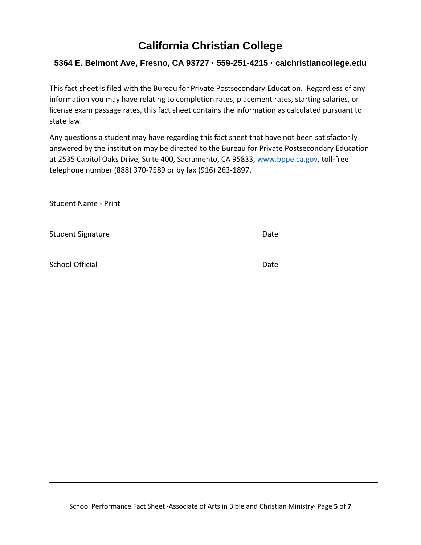## **5364 E. Belmont Ave, Fresno, CA 93727 · 559-251-4215 · calchristiancollege.edu**

This fact sheet is filed with the Bureau for Private Postsecondary Education. Regardless of any information you may have relating to completion rates, placement rates, starting salaries, or license exam passage rates, this fact sheet contains the information as calculated pursuant to state law.

Any questions a student may have regarding this fact sheet that have not been satisfactorily answered by the institution may be directed to the Bureau for Private Postsecondary Education at 2535 Capitol Oaks Drive, Suite 400, Sacramento, CA 95833, [www.bppe.ca.gov,](http://www.bppe.ca.gov/) toll-free telephone number (888) 370-7589 or by fax (916) 263-1897.

Student Name - Print

Student Signature Date Date

School Official Date Date Date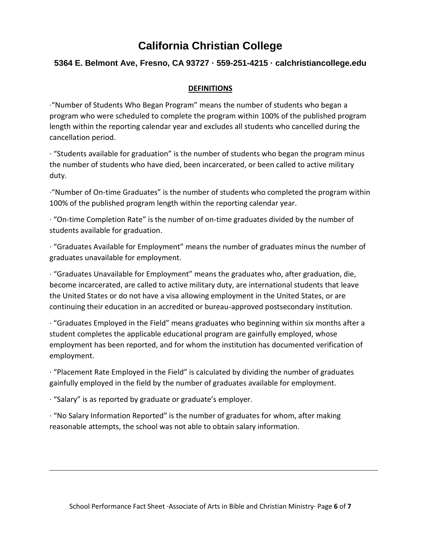## **5364 E. Belmont Ave, Fresno, CA 93727 · 559-251-4215 · calchristiancollege.edu**

#### **DEFINITIONS**

·"Number of Students Who Began Program" means the number of students who began a program who were scheduled to complete the program within 100% of the published program length within the reporting calendar year and excludes all students who cancelled during the cancellation period.

· "Students available for graduation" is the number of students who began the program minus the number of students who have died, been incarcerated, or been called to active military duty.

·"Number of On-time Graduates" is the number of students who completed the program within 100% of the published program length within the reporting calendar year.

 $\cdot$  "On-time Completion Rate" is the number of on-time graduates divided by the number of students available for graduation.

· "Graduates Available for Employment" means the number of graduates minus the number of graduates unavailable for employment.

· "Graduates Unavailable for Employment" means the graduates who, after graduation, die, become incarcerated, are called to active military duty, are international students that leave the United States or do not have a visa allowing employment in the United States, or are continuing their education in an accredited or bureau-approved postsecondary institution.

· "Graduates Employed in the Field" means graduates who beginning within six months after a student completes the applicable educational program are gainfully employed, whose employment has been reported, and for whom the institution has documented verification of employment.

· "Placement Rate Employed in the Field" is calculated by dividing the number of graduates gainfully employed in the field by the number of graduates available for employment.

· "Salary" is as reported by graduate or graduate's employer.

· "No Salary Information Reported" is the number of graduates for whom, after making reasonable attempts, the school was not able to obtain salary information.